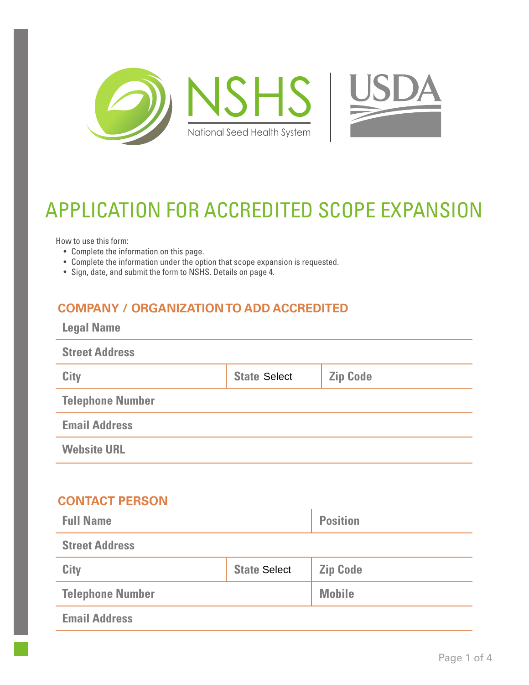

# APPLICATION FOR ACCREDITED SCOPE EXPANSION

How to use this form:

- Complete the information on this page.
- Complete the information under the option that scope expansion is requested.
- Sign, date, and submit the form to NSHS. Details on page 4.

### **COMPANY / ORGANIZATION TO ADD ACCREDITED**

| <b>Legal Name</b>       |                     |                 |
|-------------------------|---------------------|-----------------|
| <b>Street Address</b>   |                     |                 |
| <b>City</b>             | <b>State Select</b> | <b>Zip Code</b> |
| <b>Telephone Number</b> |                     |                 |
| <b>Email Address</b>    |                     |                 |
| <b>Website URL</b>      |                     |                 |

#### **CONTACT PERSON**

| <b>Full Name</b>        |                     | <b>Position</b> |
|-------------------------|---------------------|-----------------|
| <b>Street Address</b>   |                     |                 |
| <b>City</b>             | <b>State Select</b> | <b>Zip Code</b> |
| <b>Telephone Number</b> |                     | <b>Mobile</b>   |
| <b>Email Address</b>    |                     |                 |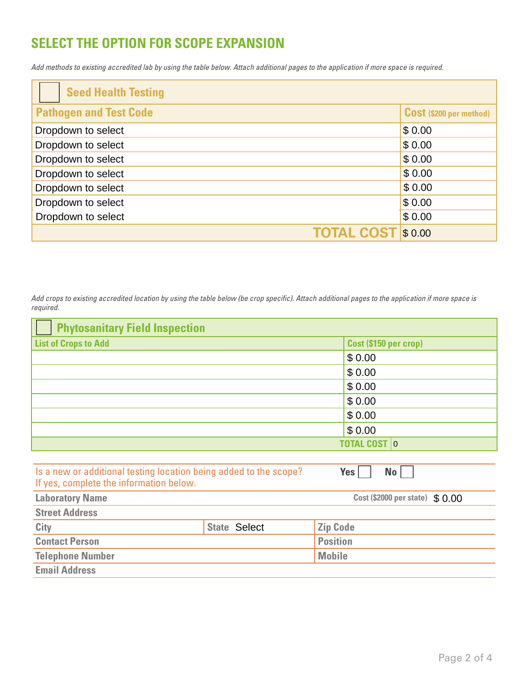## **SELECT THE OPTION FOR SCOPE EXPANSION**

*Add* methods *to existing accredited* lab *by using the table below. Attach additional pages to the application if more space is required.* 

| <b>Seed Health Testing</b>    |                                |
|-------------------------------|--------------------------------|
| <b>Pathogen and Test Code</b> | <b>Cost (\$200 per method)</b> |
| Dropdown to select            | \$0.00                         |
| Dropdown to select            | \$0.00                         |
| Dropdown to select            | \$0.00                         |
| Dropdown to select            | \$0.00                         |
| Dropdown to select            | \$0.00                         |
| Dropdown to select            | \$0.00                         |
| Dropdown to select            | \$0.00                         |
| <b>TOTAL COST</b>             | \$0.00                         |

*Add crops to existing accredited location by using the table below (be crop specific). Attach additional pages to the application if more space is required.*

| <b>Phytosanitary Field Inspection</b>                                                                                            |                     |                                 |
|----------------------------------------------------------------------------------------------------------------------------------|---------------------|---------------------------------|
| <b>List of Crops to Add</b>                                                                                                      |                     | Cost (\$150 per crop)           |
|                                                                                                                                  |                     | \$0.00                          |
|                                                                                                                                  |                     | \$0.00                          |
|                                                                                                                                  |                     | \$0.00                          |
|                                                                                                                                  |                     | \$0.00                          |
|                                                                                                                                  |                     | \$0.00                          |
|                                                                                                                                  |                     | \$0.00                          |
|                                                                                                                                  |                     | <b>TOTAL COST 0</b>             |
|                                                                                                                                  |                     |                                 |
| Is a new or additional testing location being added to the scope?<br>$Yes \mid$<br>No<br>If yes, complete the information below. |                     |                                 |
| <b>Laboratory Name</b>                                                                                                           |                     | Cost (\$2000 per state) \$ 0.00 |
| <b>Street Address</b>                                                                                                            |                     |                                 |
| City                                                                                                                             | <b>State Select</b> | <b>Zip Code</b>                 |
| <b>Contact Person</b>                                                                                                            |                     | <b>Position</b>                 |
| <b>Telephone Number</b>                                                                                                          |                     | <b>Mobile</b>                   |
| <b>Email Address</b>                                                                                                             |                     |                                 |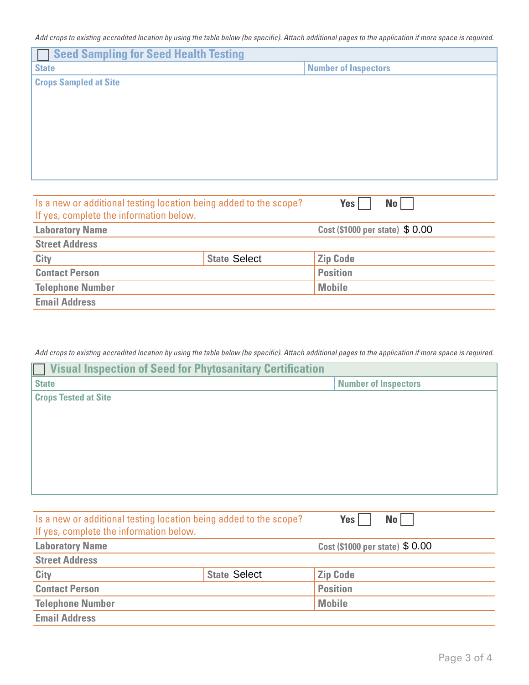*Add crops to existing accredited location by using the table below (be specific). Attach additional pages to the application if more space is required.*

| <b>Seed Sampling for Seed Health Testing</b>                      |                     |                                 |
|-------------------------------------------------------------------|---------------------|---------------------------------|
| <b>State</b>                                                      |                     | <b>Number of Inspectors</b>     |
| <b>Crops Sampled at Site</b>                                      |                     |                                 |
|                                                                   |                     |                                 |
|                                                                   |                     |                                 |
|                                                                   |                     |                                 |
|                                                                   |                     |                                 |
|                                                                   |                     |                                 |
|                                                                   |                     |                                 |
|                                                                   |                     |                                 |
| Is a new or additional testing location being added to the scope? |                     | Yes<br>No <sub>1</sub>          |
| If yes, complete the information below.                           |                     |                                 |
| <b>Laboratory Name</b>                                            |                     | Cost (\$1000 per state) \$ 0.00 |
| <b>Street Address</b>                                             |                     |                                 |
| City                                                              | <b>State Select</b> | <b>Zip Code</b>                 |
| <b>Contact Person</b>                                             |                     | <b>Position</b>                 |
| <b>Telephone Number</b>                                           |                     | <b>Mobile</b>                   |

**Email Address**

*Add crops to existing accredited location by using the table below (be specific). Attach additional pages to the application if more space is required.*

| <b>Number of Inspectors</b>                                                                 |
|---------------------------------------------------------------------------------------------|
|                                                                                             |
|                                                                                             |
|                                                                                             |
|                                                                                             |
|                                                                                             |
|                                                                                             |
|                                                                                             |
|                                                                                             |
|                                                                                             |
|                                                                                             |
|                                                                                             |
| Cost (\$1000 per state) \$ 0.00                                                             |
|                                                                                             |
| <b>State Select</b><br><b>Zip Code</b>                                                      |
| <b>Position</b>                                                                             |
| <b>Mobile</b>                                                                               |
|                                                                                             |
| Is a new or additional testing location being added to the scope?<br>Yes<br>No <sub>1</sub> |